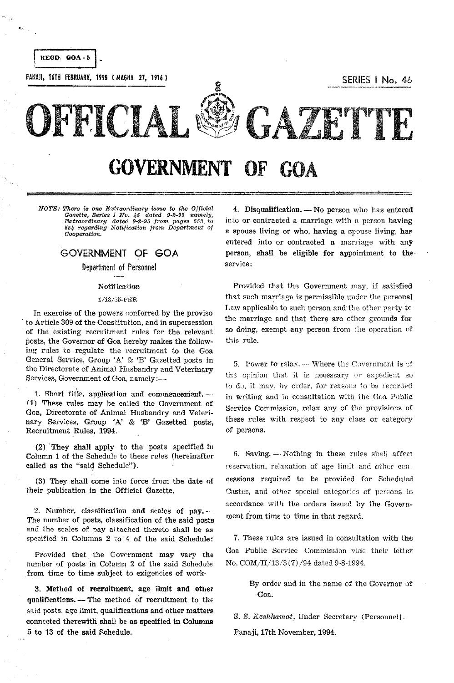

GOVERNMENT OF GOA

=============--==========================-===='====

NOTE: There is one Extraordinary issue to the Official *Gazette, Series I No. 45 dated 9-2-95 namely,* Extraordinary dated 9-2-95 from pages 553 to 554 regarding Notification from Department of Cooperation.

## GOVERNMENT OF GOA

Department of Personnel

### **Notification**

## 1/18/85-PER

In exercise of the powers conferred by the proviso . to Article 309 of the Constitu tion, and in supersession of the existing recruitment rules for the relevant posts, the Governor of Goa hereby makes the following rules to regulate the recruitment to the Goa General Service, Group 'A' & 'E' Gazetted posts in the Directorate of Animal Husbandry and Veterinary Services, Government of Goa, namely:-

1. Short title, application and commencement. $-$ (1) These rules may be called the Government of Goa, Directorate of Animal Husbandry and Veterinary Services, Group 'A' & 'E' Gazetted posts, Recruitment Rules, 1994.

(2) . They shall apply to the posts specified in Column 1 of the Schedule to these rules (hereinafter called as the "said Schedule").

(3) They shall come into force from the date of their publication in the Official Gazette,

2. Nnmher, cIassificaiion and scales **of pay\_-** The number of posts, classification of the said posts and the scales of pay attached thereto shall be as specified in Columns 2 to 4 of the said Schedule:

Provided that the Government may vary the number of posts in Column 2 of the said Schedule from time to time subject to exigencies of work·

3. Method of recruibnent. age limit and other qualifications. - The method of recruitment to the said posts, age limit, qualifications and other matters eonnccted therewith shall be as specified in Columns 5 to 13 of the said Schedule.

4. Disqualification.  $-$  No person who has entered in to or contracted a marriage with a person having a spouse living or who, having a spouse living, has entered into or contracted a marriage with any person, shall be eligible for appointment to the service:

Provided that the Government may, if satisfied that such marriage is permissible under the personal Law applicable to such person and the other party to the marriage and that there are other grounds for so doing, exempt any person from the operation of this rule.

5. Power to relax. --- Where the Covernment is of the opinion that it is necessary or expedient BO to do, it may, by order, for reasons to be recorded in writing and in consultation with the Goa Public Service Commission, relax any of the provisions of these rules with respect to any class or category of persons.

6. Saving.  $-$  Nothing in these rules shall affect reservation, relaxation of age limit and other concessions required to be provided for Scheduled Castes, and other special categories of persons in accordance with the orders issued by the Government from time to time in that regard.

7. These rules are issued in consultation with the Goa Puhlic Service Commission vide their letter No. COM/II/13/3 (7) /94 dated 9-8-1994.

> By order and in the name of the Governor of Goa.

s. S. *Keshkarnat,* Under Secretary (Personnel).

Panaji, 17th November, 1994.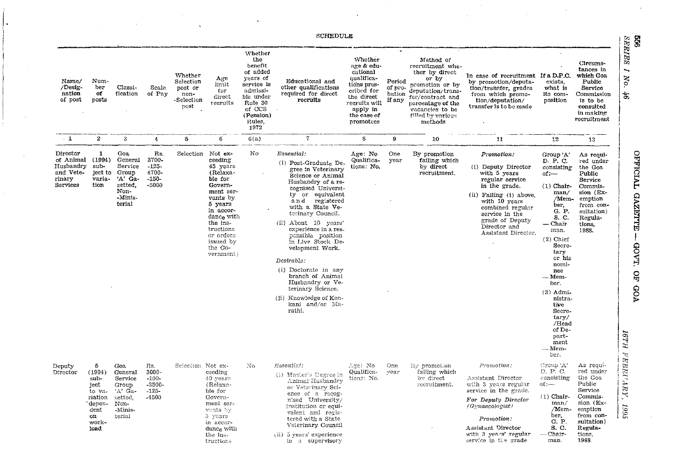|                                                                       |                                                                                          |                                                                                         |                                                         |                                                               |                                                                                                                                                                                                                      |                                                                                                                                              | <b>SCHEDULE</b>                                                                                                                                                                                                                                                                                                                                                                                                                                                                  |                                                                                                                                                     |                                       |                                                                                                                                                                                              |                                                                                                                                                                                                                                   |                                                                                                                                                                                                                                                                                                                     |                                                                                                                                                    | 99                                                                                                |
|-----------------------------------------------------------------------|------------------------------------------------------------------------------------------|-----------------------------------------------------------------------------------------|---------------------------------------------------------|---------------------------------------------------------------|----------------------------------------------------------------------------------------------------------------------------------------------------------------------------------------------------------------------|----------------------------------------------------------------------------------------------------------------------------------------------|----------------------------------------------------------------------------------------------------------------------------------------------------------------------------------------------------------------------------------------------------------------------------------------------------------------------------------------------------------------------------------------------------------------------------------------------------------------------------------|-----------------------------------------------------------------------------------------------------------------------------------------------------|---------------------------------------|----------------------------------------------------------------------------------------------------------------------------------------------------------------------------------------------|-----------------------------------------------------------------------------------------------------------------------------------------------------------------------------------------------------------------------------------|---------------------------------------------------------------------------------------------------------------------------------------------------------------------------------------------------------------------------------------------------------------------------------------------------------------------|----------------------------------------------------------------------------------------------------------------------------------------------------|---------------------------------------------------------------------------------------------------|
| Name/<br>/Desig-<br>nation<br>of post                                 | Num-<br>ber<br>of<br>posts                                                               | Classi-<br>fication                                                                     | Scale<br>of Pay                                         | Whether<br>Selection<br>post or<br>non-<br>-Selection<br>post | Age<br>limit<br>for.<br>direct<br>recruits                                                                                                                                                                           | Whether<br>the<br>benefit<br>of added<br>years of<br>service is<br>admissi-<br>ble under<br>Rule 30<br>of CCS<br>(Pension)<br>Rules,<br>1972 | Educational and<br>other qualifications<br>required for direct<br>recruits                                                                                                                                                                                                                                                                                                                                                                                                       | Whether<br>age & edu-<br>cational<br>qualifica-<br>tions pres-<br>cribed for<br>the direct<br>recruits will<br>apply in<br>the case of<br>promotees | Period<br>of pro-<br>bation<br>if any | Method of<br>recruitment whe-<br>ther by direct<br>or by<br>promotion or by<br>deputation/trans-<br>fer/contract and<br>percentage of the<br>vacancies to be<br>filled by various<br>methods | In case of recruitment If a D.P.C.<br>by promotion/deputa-<br>tion/transfer, grades<br>from which promo-<br>tion/deputation/<br>transfer is to be made                                                                            | exists,<br>what is<br>its com-<br>position                                                                                                                                                                                                                                                                          | Circums-<br>tances in<br>which Goa<br>Public<br>Service<br>Commission<br>is to be<br>consulted<br>in making<br>recruitment                         | <b>SERIES</b><br>$\overline{\phantom{0}}$<br>No.<br>ð,                                            |
| $-1$                                                                  | $\overline{2}$                                                                           | 3                                                                                       | 4                                                       | 5                                                             | 6                                                                                                                                                                                                                    | 6(a)                                                                                                                                         | 7                                                                                                                                                                                                                                                                                                                                                                                                                                                                                | 8                                                                                                                                                   | 9                                     | 10                                                                                                                                                                                           | -11                                                                                                                                                                                                                               | 12                                                                                                                                                                                                                                                                                                                  | 13                                                                                                                                                 |                                                                                                   |
| Director<br>of Animal<br>Husbandry<br>and Vete-<br>rinary<br>Services | 1<br>(1994)<br>sub-<br>ject to<br>varia-<br>tion                                         | Goa<br>General<br>Service<br>Group<br>'A' Ga-<br>zetted,<br>Non-<br>-Minis-<br>terial   | Rs.<br>3700-<br>$-125-$<br>4700-<br>$-150-$<br>$-5000$  |                                                               | Selection Not ex-<br>ceeding<br>45 years<br>(Relaxa-<br>ble for<br>Govern-<br>ment ser-<br>vants by<br>5 years<br>in accor-<br>dance with<br>the ins-<br>tructions<br>or orders<br>issued by<br>the Go-<br>vernment) | No                                                                                                                                           | Essential.<br>(i) Post-Graduate De.<br>gree in Veterinary<br>Science or Animal<br>Husbandry of a re-<br>cognised Universi-<br>ty or equivalent<br>and registered<br>with a State Ve-<br>terinary Council.<br>(ii) About 10 years'<br>experience in a res-<br>ponsible position<br>in Live Stock De-<br>velopment Work.<br>Desirable:<br>(i) Doctorate in any<br>branch of Animal<br>Husbandry or Ve-<br>terinary Science.<br>(ii) Knowledge of Kon-<br>kani and/or Ma-<br>rathi, | Age: No<br>Qualifica-<br>tions: No.                                                                                                                 | One<br>year                           | By promotion<br>failing which<br>by direct<br>recruitment.                                                                                                                                   | Promotion:<br>(i) Deputy Director<br>with 5 years<br>regular service<br>in the grade.<br>(ii) Failing (i) above.<br>with 10 years<br>combined regular<br>service in the<br>grade of Deputy<br>Director and<br>Assistant Director, | Group 'A'<br>D. P. C.<br>consisting<br>of:---<br>$(1)$ Chair-<br>man/<br>/Mem-<br>ber,<br>G. P.<br>S. C.<br>— Chair<br>man.<br>$(2)$ Chief<br>Secre-<br>tary<br>or his<br>nomi-<br>nee<br>— Мет-<br>ber.<br>$(3)$ Admi-<br>nistra-<br>tive<br>Secre-<br>tary/<br>/Head<br>of De-<br>part-<br>ment<br>— Мет-<br>ber. | As requi-<br>red under<br>the Goa<br>Public<br>Service<br>Commis-<br>sion (Ex-<br>emption<br>from con-<br>sultation)<br>Regula-<br>tions,<br>1988. | <b>TVIOLARO</b><br><b>GAZETTE</b><br>GOVT.<br>$\mathbf{g}$<br><b>AOA</b><br>16TH<br>$\mathcal{L}$ |
| Deputy<br>Director                                                    | 5<br>(1994)<br>sub-<br>ject<br>to va<br>riation<br>depen-<br>dent<br>on<br>work-<br>load | Goa<br>General<br>Service<br>Group<br>$'A'$ Ga-<br>zetted,<br>Non-<br>-Minis-<br>terial | Rs.<br>3000-<br>$-100-$<br>$-3500-$<br>$-125-$<br>-4500 | Selection Not ex-                                             | ceeding<br>40 years<br>(Relaxa-<br>ble for<br>Govern-<br>ment ser-<br>vants by<br>5 years<br>in accor-<br>dance with<br>the ins-<br>tructions                                                                        | No.                                                                                                                                          | Essential:<br>(1) Master's Degree in<br>Animal Husbandry<br>or Veterinary Sci-<br>ence of a recog-<br>n.sed University/<br>Institution or equi-<br>valent and regis-<br>tered with a State<br>Veterinary Council<br>(ii) 5 years' experience<br>In a supervisory                                                                                                                                                                                                                 | Age: No<br>Qualifica-<br>tions: No.                                                                                                                 | One-<br>vear                          | By promotion<br>failing which<br>by direct<br>recruitment.                                                                                                                                   | P omotion.<br>Assistant Director<br>with 3 years regular<br>service in the grade.<br>For Deputy Director<br>(Gymaecologist)<br>Promotion:<br>Assistant Director<br>with 3 years' regular<br>service in the grade                  | Group 'A'<br>D. P. C.<br>consisting<br>$0$ : $-$<br>$(1)$ Chair-<br>man/<br>/Mem-<br>ber,<br>G. P.<br>S. C.<br>-- Chair-<br>man.                                                                                                                                                                                    | As requi-<br>red under<br>the Goa<br>Public<br>Service<br>Commis-<br>sion (Ex-<br>emption<br>from con-<br>sultation)<br>Regula-<br>tions,<br>1988. | <b>WBRUARY</b> ,<br>2995                                                                          |

 $\Delta$ 

 $\label{eq:2.1} \begin{split} \mathcal{L}_{\text{max}}(\mathbf{y},\mathbf{y})&=\mathcal{L}_{\text{max}}(\mathbf{y},\mathbf{y})\mathcal{L}_{\text{max}}(\mathbf{y},\mathbf{y})\\ &\leq \mathcal{L}_{\text{max}}(\mathbf{y},\mathbf{y})\mathcal{L}_{\text{max}}(\mathbf{y},\mathbf{y})\mathcal{L}_{\text{max}}(\mathbf{y},\mathbf{y})\mathcal{L}_{\text{max}}(\mathbf{y},\mathbf{y})\mathcal{L}_{\text{max}}(\mathbf{y},\mathbf{y})\mathcal{L}_{\text{max}}(\mathbf{y$ 

 $\label{eq:1} \begin{array}{ll} \displaystyle \frac{1}{\sqrt{2}}\left(\frac{1}{\sqrt{2}}\right)^{1/2} \left(\frac{1}{\sqrt{2}}\right)^{1/2} \left(\frac{1}{\sqrt{2}}\right)^{1/2} \left(\frac{1}{\sqrt{2}}\right)^{1/2} \left(\frac{1}{\sqrt{2}}\right)^{1/2} \left(\frac{1}{\sqrt{2}}\right)^{1/2} \left(\frac{1}{\sqrt{2}}\right)^{1/2} \left(\frac{1}{\sqrt{2}}\right)^{1/2} \left(\frac{1}{\sqrt{2}}\right)^{1/2} \left(\frac{1}{\sqrt{2}}\$ 

 $\sim 100$ 

 $\sim$ 

 $\sim 100$ 

 $\sim$   $\sim$ 

 $\mathcal{L}^{\mathcal{L}}(\mathcal{L}^{\mathcal{L}}(\mathcal{L}^{\mathcal{L}}(\mathcal{L}^{\mathcal{L}}(\mathcal{L}^{\mathcal{L}}(\mathcal{L}^{\mathcal{L}}(\mathcal{L}^{\mathcal{L}}(\mathcal{L}^{\mathcal{L}}(\mathcal{L}^{\mathcal{L}}(\mathcal{L}^{\mathcal{L}}(\mathcal{L}^{\mathcal{L}}(\mathcal{L}^{\mathcal{L}}(\mathcal{L}^{\mathcal{L}}(\mathcal{L}^{\mathcal{L}}(\mathcal{L}^{\mathcal{L}}(\mathcal{L}^{\mathcal{L}}(\mathcal{L}^{\mathcal{L$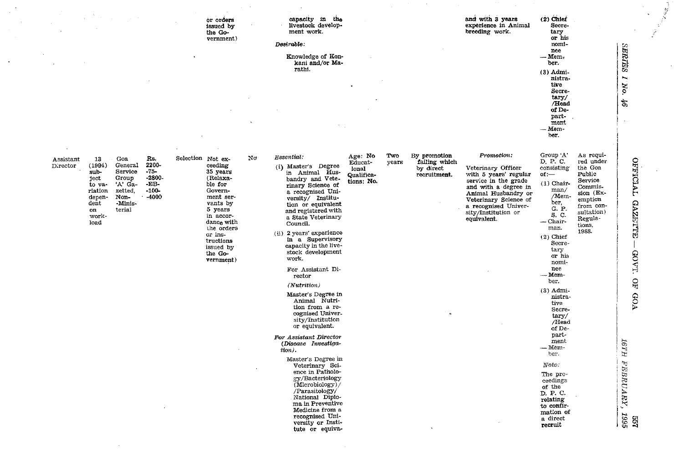|                                                                                                                                                                                                                                                                                 | or orders<br>issued by<br>the Go-<br>vernment)                                                                                                                                                                             | capacity in the<br>livestock develop-<br>ment work.<br>Desirable:                                                                                                                                                                                                                                                                                                                                                                                                                                                                                                                                                                                                                                                                                                                |                                                                                                                                       | and with 3 years<br>experience in Animal<br>breeding work.                                                                                                                                                              | $(2)$ Chief<br>Secre-<br>tary<br>or his<br>nomi-<br>nee                                                                                                                                                                                                                                                                                                                                                                                                                                                                                                                                                 |                                                                                                         |
|---------------------------------------------------------------------------------------------------------------------------------------------------------------------------------------------------------------------------------------------------------------------------------|----------------------------------------------------------------------------------------------------------------------------------------------------------------------------------------------------------------------------|----------------------------------------------------------------------------------------------------------------------------------------------------------------------------------------------------------------------------------------------------------------------------------------------------------------------------------------------------------------------------------------------------------------------------------------------------------------------------------------------------------------------------------------------------------------------------------------------------------------------------------------------------------------------------------------------------------------------------------------------------------------------------------|---------------------------------------------------------------------------------------------------------------------------------------|-------------------------------------------------------------------------------------------------------------------------------------------------------------------------------------------------------------------------|---------------------------------------------------------------------------------------------------------------------------------------------------------------------------------------------------------------------------------------------------------------------------------------------------------------------------------------------------------------------------------------------------------------------------------------------------------------------------------------------------------------------------------------------------------------------------------------------------------|---------------------------------------------------------------------------------------------------------|
|                                                                                                                                                                                                                                                                                 |                                                                                                                                                                                                                            | Knowledge of Kon-<br>kani and/or Ma-<br>rathi.                                                                                                                                                                                                                                                                                                                                                                                                                                                                                                                                                                                                                                                                                                                                   |                                                                                                                                       |                                                                                                                                                                                                                         | $-m$ Mem-<br>ber.<br>$(3)$ Admi-<br>nistra-<br>tive<br>Secre-<br>tary/<br>/Head<br>of De-<br>part-                                                                                                                                                                                                                                                                                                                                                                                                                                                                                                      | SERTES<br>I No.<br>$\mathcal{B}^{\prime}$                                                               |
|                                                                                                                                                                                                                                                                                 |                                                                                                                                                                                                                            |                                                                                                                                                                                                                                                                                                                                                                                                                                                                                                                                                                                                                                                                                                                                                                                  |                                                                                                                                       |                                                                                                                                                                                                                         | ment<br>- Mem-<br>ber.                                                                                                                                                                                                                                                                                                                                                                                                                                                                                                                                                                                  |                                                                                                         |
| Rs.<br>13<br>Goa<br>Assistant<br>2200-<br>(1994)<br>General<br>Director<br>$-75-$<br>Service<br>sub-<br>-2800-<br>Group<br>ject<br>$-EB$ -<br>'A' Ga-<br>to va-<br>$-100-$<br>zetted,<br>riation<br>-4000<br>Non-<br>depen-<br>dent<br>-Minis-<br>terial<br>on<br>work-<br>load | Νo<br>Selection Not ex-<br>ceeding<br>35 years<br>(Relaxa-<br>ble for<br>Govern-<br>ment ser-<br>vants by<br>5 years<br>in accor-<br>dance with<br>the orders<br>or ins-<br>tructions<br>issued by<br>the Go-<br>vernment) | Essential:<br>(i) Master's Degree<br>in Animal Hus-<br>bandry and Vete-<br>rinary Science of<br>a recognised Uni-<br>versity/ Institu-<br>tion or equivalent<br>and registered with<br>a State Veterinary<br>Council.<br>(ii) 2 years' experience<br>in a Supervisory<br>capacity in the live-<br>stock development<br>work.<br>For Assistant Di-<br>rector<br>(Nutrition)<br>Master's Degree in<br>Animal Nutri-<br>tion from a re-<br>cognised Univer-<br>sity/Institution<br>or equivalent.<br>For Assistant Director<br>(Disease Investiga-<br>tion).<br>Master's Degree in<br>Veterinary Sci-<br>ence in Patholo-<br>gy/Bacteriology<br>(Microbiology)/<br>/Parasitology/<br>National Diplo-<br>ma in Preventive<br>Medicine from a<br>recognised Uni-<br>versity or Insti- | Age: No<br>Two<br>By promotion<br>failing which<br>Educat-<br>years<br>by direct<br>ional<br>Qualifica-<br>recruitment.<br>tions: No. | Promotion:<br>Veterinary Officer<br>with 5 years' regular<br>service in the grade<br>and with a degree in<br>Animal Husbandry or<br>Veterinary Science of<br>a recognised Univer-<br>sity/Institution or<br>equivalent. | Group $\lq A\rq$<br>As requi-<br>D. P. C.<br>red under<br>consisting<br>the Goa<br>Public<br>ot:<br>Service<br>$(1)$ Chair-<br>Commis-<br>man/<br>sion (Ex-<br>/Mem-<br>emption<br>ber,<br>from con-<br>G. P.<br>sultation)<br>S. C.<br>Regula-<br>$-$ Chair-<br>tions,<br>man.<br>1988.<br>$(2)$ Chief<br>Secre-<br>tary<br>or his<br>nomi-<br>nee<br>--- Mem-<br>ber.<br>$(3)$ Admi-<br>nistra-<br>tive<br>Secre-<br>tary/<br>/Head<br>of De-<br>part-<br>ment<br>- Mem-<br>ber.<br>Note:<br>The pro-<br>ceedings<br>of the<br>D. P. C.<br>relating<br>to confir-<br>mation of<br>a direct<br>recruit | OFFICIAL<br><b>GAZETTE</b><br>GOVT.<br>$\overline{H}$<br><b>GOA</b><br>HL9I<br>FEBRUARY,<br>1995<br>299 |

 $\mathbf{r}$ 

 $\sim$ 

 $\mathcal{L}^{\pm}$ 

 $\tilde{\mathcal{E}}$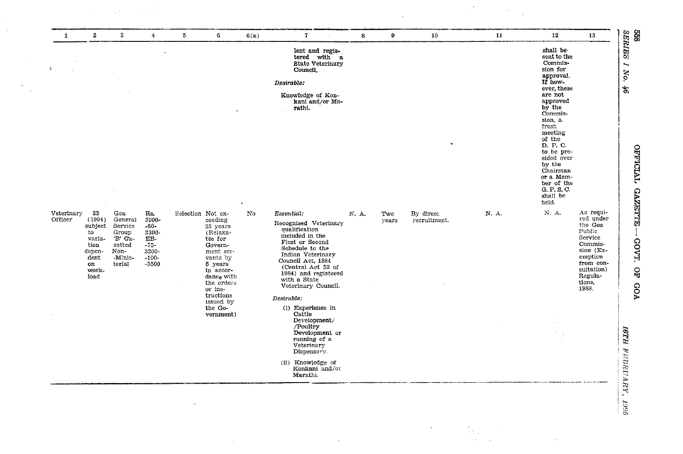| $\mathbf{1}$          | $\bf{2}$                                                                                 | $\mathbf{3}$                                                                         | 4                                                                                         | 5                 | 6                                                                                                                                                                                               | 6(a)               | $7^{\circ}$                                                                                                                                                                                                                                                                                                                                                                                                                                     | $\bf{8}$         | 9            | 10                        | 11    | 12                                                                                                                                                                                                                                                                                                      | 13                                                                                                                                                 |
|-----------------------|------------------------------------------------------------------------------------------|--------------------------------------------------------------------------------------|-------------------------------------------------------------------------------------------|-------------------|-------------------------------------------------------------------------------------------------------------------------------------------------------------------------------------------------|--------------------|-------------------------------------------------------------------------------------------------------------------------------------------------------------------------------------------------------------------------------------------------------------------------------------------------------------------------------------------------------------------------------------------------------------------------------------------------|------------------|--------------|---------------------------|-------|---------------------------------------------------------------------------------------------------------------------------------------------------------------------------------------------------------------------------------------------------------------------------------------------------------|----------------------------------------------------------------------------------------------------------------------------------------------------|
| $\mathcal{L}$         |                                                                                          |                                                                                      |                                                                                           |                   |                                                                                                                                                                                                 |                    | lent and regis-<br>tered with a<br><b>State Veterinary</b><br>Council.<br>Desirable:<br>Knowledge of Kon-<br>kani and/or Ma-<br>rathi.                                                                                                                                                                                                                                                                                                          |                  |              |                           |       | shall be<br>sent to the<br>Commis-<br>sion for<br>approval.<br>If how-<br>ever, these<br>are not<br>approved<br>by the<br>Commis-<br>sion, a<br>fresh<br>meeting<br>of the<br>D. P. C.<br>to be pre-<br>sided over<br>by the<br>Chairman<br>or a Mem-<br>ber of the<br>G. P. S. C.<br>shall be<br>held. |                                                                                                                                                    |
| Veterinary<br>Officer | 33<br>(1994)<br>subject<br>to<br>varia-<br>tion<br>depen-<br>dent<br>on<br>work-<br>load | Goa<br>General<br>Service<br>Group<br>'B' Ca-<br>zetted<br>Non-<br>-Minis-<br>terial | Rs.<br>2000-<br>$-60-$<br>2300-<br>$\mathbf{EB}$ .<br>$-75-$<br>3200-<br>$-100-$<br>-3500 | Selection Not ex- | ceeding<br>35 years<br>(Relaxa-<br>ble for<br>Govern-<br>ment ser-<br>vants by<br>5 years<br>in accor-<br>dance with<br>the orders<br>or ins-<br>tructions<br>issued by<br>the Go-<br>vernment) | $\rm\thinspace No$ | Essential:<br>Recognised Veterinary<br>qualification<br>included in the<br>First or Second<br>Schedule to the<br>Indian Veterinary<br>Council Act, 1984<br>(Central Act 52 of<br>1984) and registered<br>with a State<br>Veterinary Council.<br>$\label{eq:separable} Desirable.$<br>(i) Experience in<br>Cattle<br>Development/<br>/Poultry<br>Development or<br>running of a<br>Veterinary<br>Dispensary.<br>(ii) Knowledge of Konkani and/or | $\mathbb{N}.$ A. | Two<br>years | By direct<br>recruitment. | N. A. | $\mathbf{N}$ . A.<br>$\mathcal{P}^{\text{c}}_{\text{c}}$ , $\mathcal{P}^{\text{c}}_{\text{c}}$                                                                                                                                                                                                          | As requi-<br>red under<br>the Goa<br>Public<br>Service<br>Commis-<br>sion (Ex-<br>emption<br>from con-<br>sultation)<br>Regula-<br>tions,<br>1988. |

 $\label{eq:2.1} \frac{1}{\sqrt{2\pi}}\int_{\mathbb{R}^3}\frac{1}{\sqrt{2\pi}}\int_{\mathbb{R}^3}\frac{1}{\sqrt{2\pi}}\int_{\mathbb{R}^3}\frac{1}{\sqrt{2\pi}}\int_{\mathbb{R}^3}\frac{1}{\sqrt{2\pi}}\int_{\mathbb{R}^3}\frac{1}{\sqrt{2\pi}}\int_{\mathbb{R}^3}\frac{1}{\sqrt{2\pi}}\int_{\mathbb{R}^3}\frac{1}{\sqrt{2\pi}}\int_{\mathbb{R}^3}\frac{1}{\sqrt{2\pi}}\int_{\mathbb{R}^3}\frac{1$ 

 $\mathcal{A}^{\text{max}}_{\text{max}}$ 

 $\frac{V}{1.1995}$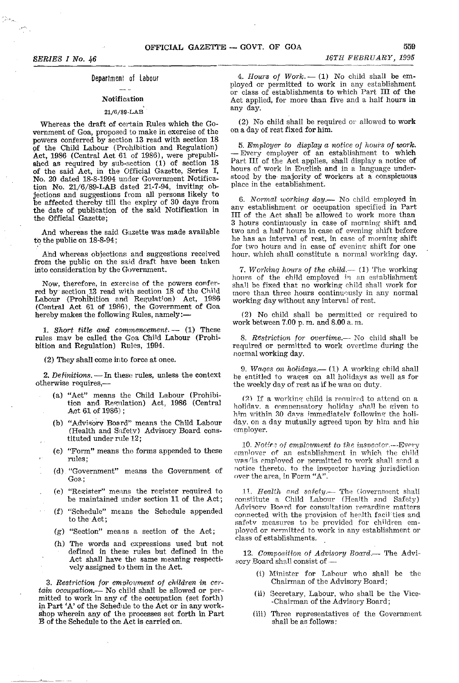## Department of labour

# Notification

## 21/6/89-LAB

Whereas the draft of certain Rules which the Government of Goa, proposed to make in exercise of the powers conferred by section 13 read with section 18 of the Child Labour (Prohibition and Regulation) Act, 1986 (Central Act 61 of 1986), were prepublished as required by sub-section (1) of section 18 of the said Act, in the Official Gazette, Series I, No. 20 dated 18-8-1994 under Government Notification No. 21/6/89-LAB dated 21-7-94, inviting objections and suggestions from all persons likely to be affected thereby till the expiry of 30 days from the date of publication of the said Notification in the Official Gazette';

And whereas the said Gazette was made available to the public on 18-8-94;

Ahd whereas objections and suggestions received from the public on the said draft have been taken irito consideration by the Government.

Now, therefore, in exercise of the powers conferred by section,13 read with section 18 of the Child Labour (Prohibition and Regulation) Act, 1986 (Central Act 61 of 1986), the Government of Goa hereby makes the following Rules, namely:-

1. *Short title and commencement.* -- (1) These rules mav be called the Goa Child Labour (Prohibition and Regulation) Rules, 1994.

(2) They shall come into force at once.

2. Definitions. — In these rules, unless the context otherwise requires,-

- (a) "Act" means the Child Labour (Prohibition and Regulation) Act, 1986 (Central Act 61 of 1986);
- (b) "Advisory Board" means the Child Labour (Health and Safety) Advisory Board constituted under rule 12;
- (c) "Form" means the forms appended to these rules;
- (d) "Government" means the Government of Goa.;
- (e) "Register" means the register required to be maintained under section 11 of the Act;
- (f) "Schedule" means the Schedule appended to the Act;
- (g) "Section" means a section of the Act;
- (h) The words and expressions used but not defined in these rules but defined in the Act shall have the same meaning respectively assigned to them in the Act.

3. Restriction for employment of children in certain occupation.-- No child shall be allowed or permitted to work in any of the occupation (set forth) in Part' A' of the Schedule to the Act or in any workshop wherein any of the processes set forth in Part B of the Schedule to the Act is carried on.

4. Hours of Work.  $-$  (1) No child shall be employed or permitted to work in any establishment or class of establishments to which Part III of the Act applied, for more than five and a half hours in any day.

(2) No child shall be required or allowed to work on a day of rest fixed for him.

*5, Employer to display a notice of hours* of *work.* - Every employer of an establishment to which Part III of the Act applies, shall display a notice of hours of work in English and in a language understood by the majority of workers at a conspicuous place in the establishment.

*6. Normal working day,-* No child employed in any establishment or occupation specified in Part III of the Act shall be allowed to work more than 3 hours continuously in case of morning shift and two and a half hours in case of evening shift before he has an interval of rest, in case of morning shift for two hours and in case of evening shift for one hour, which shall constitute a normal working day\_

7. Working hours of the child.-- (1) The working hours of the child employed in an establishment shal] be fixed that no working child shall work for more than three hours continuously in any normal working day without any interval of rest.

(2) No child shall be permitted or required to work between 7.00 p. m. and 8.00 a, m.

*8. Restriction for overtime.--* No child shall be required or permitted to work overtime during the normal working day.

*9. Waqes on holidays.-* (1) A working child shall be entitled to wages on all holidays as well as for the weekly day of rest as if he was on duty.

 $(2)$  If a working child is required to attend on a holidav, a compensatory holiday shall be given to him within 30 days immediately following the holiday, on a day mutually agreed upon by him and his employer.

10. Notice of emploument to the *insrector*.—Every employer of an establishment in which the child was/is employed or permitted to work shall send a notice thereto, to the inspector having jurisdiction over the area, in Form "A".

11. Health and safety.- The Government shall constitute a Child Labour (Health and Safety) Advisory Board for consultation regarding matters connected with the provision of health facilities and safetv measures to be provided for children employed or nermitted to work in any establishment or class of establishments.

12. Composition of Advisory Board.-- The Advisory Board shall consist of --

- (i) Minister for Labour who shall be the Chairman of the Advisory Board;
- (ii) Secretary, Labour, who shall be the Vice- -Chairman of the Advisory Board;
- (iii) Three representatives of the Government shall be as follows: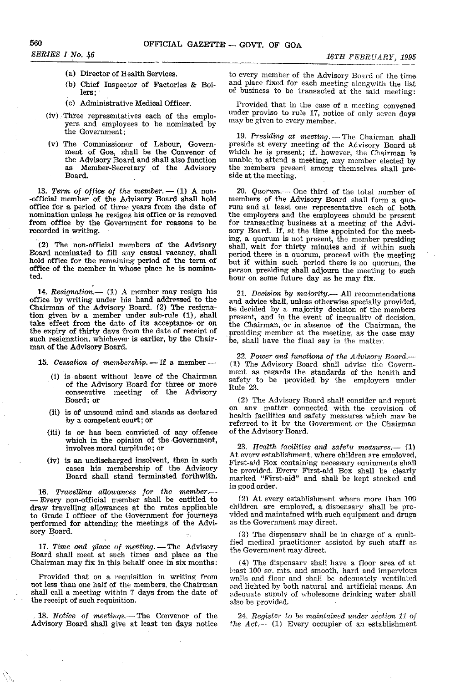- 
- (b) Chief Inspector of Factories & Boi**lers;** ,
- (c) Administrative Medical Officer.
- (iv) Three representatives each of the employers and employees to be nominated by the Government;
- (v) The Commissioner of Labour, Government of Goa, shall be the Convenor of the Advisory Board and shall also function as Member-Secretary' of the Advisory Board.

13. Term of office of the member.  $- (1)$  A non--official member of the Advisory Board shall hold office for a period of three years from the date of nomination unless he resigns his office or is removed from office by the Government for reasons to be recorded in writing.

'(2) The non-official members of the Advisory Board nominated to fill any casual vacancy, shall hold office for the remaining period of the term of office of the member in whose place he is nominated.

14. Resignation.-- (1) A member may resign his office by writing under his hand addressed to the Chairman of the Advisory Board. (2) The resignation given bv a member under sub-rule (1), shall take effect from the date of its acceptance- or on the expiry of thirty days from the date of receipt of such resignation, whichever is earlier, by the Chairman of the Advisory Board.

15. Cessation of membership. -- If a member-

- (i) is absent without leave of the Chairman of the Advisory Board for three or more consecutive meeting of the Advisory Board; or
- (ii) is of unsound mind and stands as declared by a competent court; or
- (iii) is or has been convicted of any offence which in the opinion of the Government, involves moral turpitude; or
- (iv) is an undischarged insolvent, then in such cases his membership of the Advisory Board shall stand terminated forthwith.

16. Travellina allowances for the member.-- Every non-official member shall be entitled to draw travelling- allowances at the rates applicable to Grade I officer of the Government for journeys performed for attending the meetings of the Advisory Board.

17. Time and place of meeting. - The Advisory Board shall meet at such times and place as the Chairman may fix in this behalf once in six months:

Provided that on a requisition in writing from not less than one half of the members, the Chairman shall call a meeting within 7 days from the date of the receipt of such requisition.

18. Notice of *meetings.*—The Convenor of the Advisory Board shall give at least ten days notice

**SERIES I No. 46 16TH FEBRUARY**, 1995 **16TH FEBRUARY**, 1995 **(a)** Director of Health Services. to every member of the Advisory Board of the time and place fixed for each meeting alongwith the list of business to be transacted at the said meeting:

> Provided that in the case of a meeting convened under proviso to rule 17, notice of only seven days may be given to every member.

> 19. Presiding at meeting. - The Chairman shall preside at every meeting of the Advisory Board at which he is present; if, however, the Chairman is unable to attend a meeting, any member elected by the members present among themselves shall preside at the meeting.

> *20.* Quorum.-- One third of the total number of members of the Advisory Board shall form a quorum and at least one representative each of both the employers and the employees should be present for transacting business at a meeting of the Advisory Board. If, at the time appointed for the meeting, a quorum is not present, the member presiding shall, wait for thirty minutes and if within such period there is a quorum, proceed with the meeting but if within such period there is no quorum, the person presiding shall adjourn the meeting to such hour on some future day as he may fix.

> 21. Decision by majority.-- All recommendations and advice shall, unless otherwise specially provided, be decided by a majority decision of the members present, and in the event of inequality of decision, the Chairman, or in absence of the Chairman, the presiding member at the meeting, as the case may be, shall have the final say in the matter,

> 22. Power and functions of the Advisory Board.---(1) The Advisory Board shall advise the Government as regards the standards of the health and safety to be provided by the employers under Rule 23.

> (2) The Advisory Board shall consider and report on anv matter connected with the provision of health facilities and safety measures which mav be referred to it bv the Government or the Chairman of the Advisory Board.

> 23. Health facilities and safety measures.  $-$  (1) At every establishment, where children are emploved, First-aid Box containing necessary eauinments shall be nrovided. Everv First-aid Box shall be clearly marked "First-aid" and shall be kept stocked and in good order.

> $(2)$  At every establishment where more than 100 children are employed, a disnensary shall be pro· vided and maintained with such equipment and drugs as the Government may direct.

> (3) The dispensary shall be in charge of a Qualified medical practitioner assisted by such staff as the Government may direct.

> ( 4) The dispensary shall have a floor area of at least 100 sq. mts. and smooth, hard and impervious walls and floor and shall be adeauatelv ventilated and lighted by both natural and artificial means. An adequate supply of wholesome drinking water shall also be provided.

> 24. Register to be maintained under section 11 of *Ihe Act.*-- (1) Every occupier of an establishment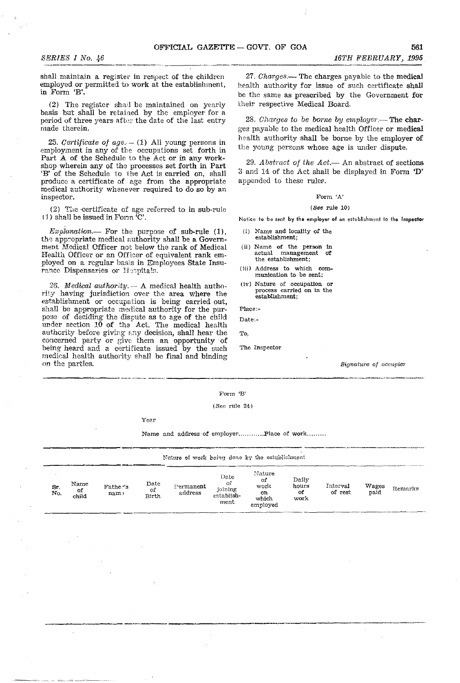*SERIES I No. 46* 16TH FEBRUARY, 1995<br> **SERIES I No. 46** 16TH FEBRUARY, 1995<br>
shall maintain a register in respect of the children 27. Charges.— The charges payable to the medical shall maintain a register in respect of the children employed or permitted to work at the establishment, in Form 'B'.

(2) The register shail be maintained on yearly basis but shall be retained by the employer for a period of three years after the date of the last entry made therein.

25. Certificate of  $age. - (1)$  All young persons in employment in any of the occupations set forth in Part A of the Schedule to the Act or in any workshop wherein any of the processes set forth in Part 'B' of the Schedule to the Act is carried on, shall produce a certificate of age from the appropriate medical authority whenever required to do so by an inspector.

(2) The certificate of age referred to in sub-rule  $(1)$  shall be issued in Form  $C'$ .

 $Explanation$ - For the purpose of sub-rule  $(1)$ , the appropriate medical authority shall be a Government Medical Officer not below the rank of Medical Health Officer or an Officer of equivalent rank employed on a regular basis in Employees State Insurance Dispensaries or Hospitals.

26. *Medical authority.*  $- A$  medical health authority having jurisdiction over the area where the establishment or occupation is being carried out, shaH be appropriate medical authority for the purpose of deciding the dispute as to age of the child under section  $10$  of the Act. The medical health authority before giving any decision, shall hear the concerned party or give them an opportunity of being heard and a certificate issued by the such medical health authority shall be final and binding on the parties. -.. \_'- -\_.\_---

*27. Charges.-* The charges payable to the medical health authority for issue of such certificate shall be the same as prescribed by the Government for their respective Medical Board.

28. *Charges to be borne by employer*.— The charges payable to the medical health Officer or medical health authority shall be borne by the employer of the young persons whose age is under dispute.

29. Abstract of the Act.— An abstract of sections 3 and 14 of the Act shall be displayed in Form 'D' appended to these rules.

### Form 'A'

### $(See rule 10)$

Notice to be sent by the employer of an establishment to the Inspector

- (i) Name and locality of the establishment;
- (ii) Name of the person in<br>actual management of management of the establishment;
- (iii) Address to which com- munication to be sent;
- (tv) Nature of occupation or process carried on in the establishment;

Plaee:~

Date:-

To,

The Inspector

Signature of occupier

### ll"O'rm 'B'

### (Sec rule 24)

Year

|           |                      |                  |                      | Name and address of employerPlace of work                              |                                              |                                                  |                               |                     |               |         |
|-----------|----------------------|------------------|----------------------|------------------------------------------------------------------------|----------------------------------------------|--------------------------------------------------|-------------------------------|---------------------|---------------|---------|
| Sr<br>No. | Name<br>of.<br>child | Father's<br>nam: | Date<br>of<br>Birth. | Nature of work being done by the establishment<br>Permanent<br>address | Date<br>-of<br>joining<br>establish-<br>ment | Nature<br>of<br>work<br>OI.<br>which<br>employed | Daily<br>hours<br>-of<br>work | Interval<br>of rest | Wages<br>paid | Remarks |